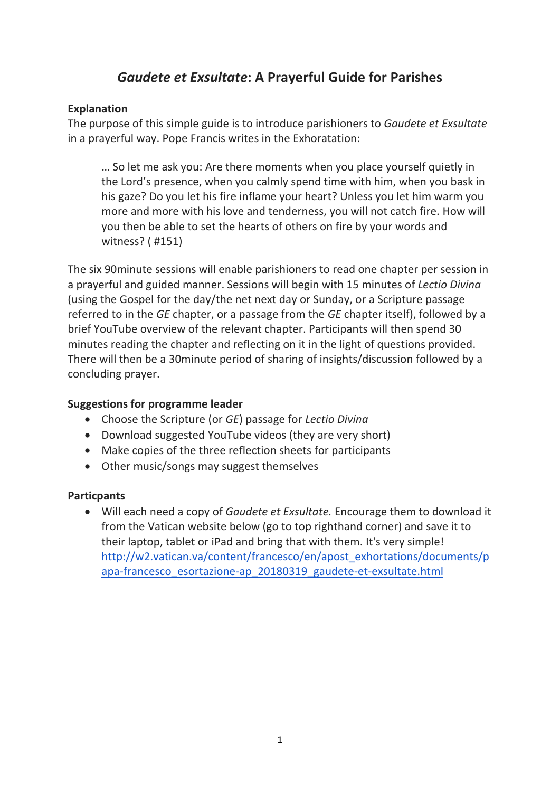# *Gaudete et Exsultate***: A Prayerful Guide for Parishes**

### **Explanation**

The purpose of this simple guide is to introduce parishioners to *Gaudete et Exsultate* in a prayerful way. Pope Francis writes in the Exhoratation:

… So let me ask you: Are there moments when you place yourself quietly in the Lord's presence, when you calmly spend time with him, when you bask in his gaze? Do you let his fire inflame your heart? Unless you let him warm you more and more with his love and tenderness, you will not catch fire. How will you then be able to set the hearts of others on fire by your words and witness? ( #151)

The six 90minute sessions will enable parishioners to read one chapter per session in a prayerful and guided manner. Sessions will begin with 15 minutes of *Lectio Divina* (using the Gospel for the day/the net next day or Sunday, or a Scripture passage referred to in the *GE* chapter, or a passage from the *GE* chapter itself), followed by a brief YouTube overview of the relevant chapter. Participants will then spend 30 minutes reading the chapter and reflecting on it in the light of questions provided. There will then be a 30minute period of sharing of insights/discussion followed by a concluding prayer.

### **Suggestions for programme leader**

- Choose the Scripture (or *GE*) passage for *Lectio Divina*
- Download suggested YouTube videos (they are very short)
- Make copies of the three reflection sheets for participants
- Other music/songs may suggest themselves

### **Particpants**

• Will each need a copy of *Gaudete et Exsultate.* Encourage them to download it from the Vatican website below (go to top righthand corner) and save it to their laptop, tablet or iPad and bring that with them. It's very simple! [http://w2.vatican.va/content/francesco/en/apost\\_exhortations/documents/p](http://w2.vatican.va/content/francesco/en/apost_exhortations/documents/papa-francesco_esortazione-ap_20180319_gaudete-et-exsultate.html) [apa-francesco\\_esortazione-ap\\_20180319\\_gaudete-et-exsultate.html](http://w2.vatican.va/content/francesco/en/apost_exhortations/documents/papa-francesco_esortazione-ap_20180319_gaudete-et-exsultate.html)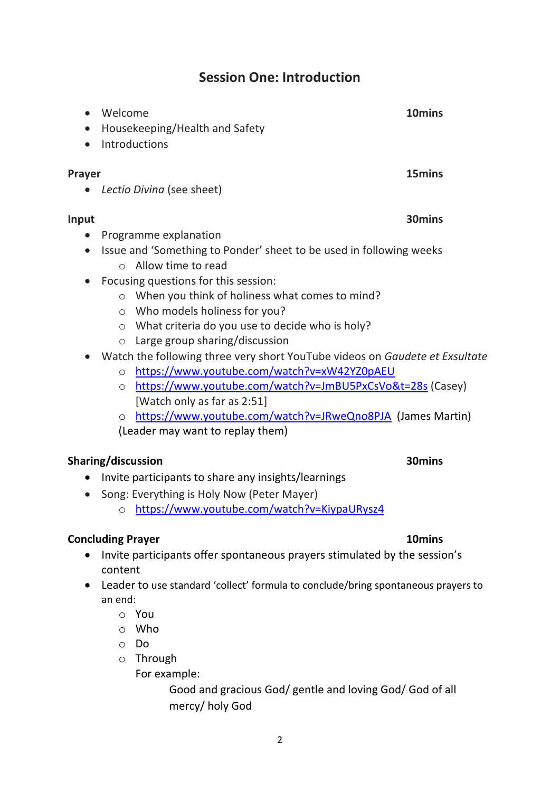# 2

# **Session One: Introduction**

• Welcome **10mins**

- Introductions **Prayer 15mins** • *Lectio Divina* (see sheet) **Input 30mins** • Programme explanation • Issue and 'Something to Ponder' sheet to be used in following weeks
	- o Allow time to read

• Housekeeping/Health and Safety

- Focusing questions for this session:
	- o When you think of holiness what comes to mind?
	- o Who models holiness for you?
	- o What criteria do you use to decide who is holy?
	- o Large group sharing/discussion

### • Watch the following three very short YouTube videos on *Gaudete et Exsultate*

- o <https://www.youtube.com/watch?v=xW42YZ0pAEU>
- o <https://www.youtube.com/watch?v=JmBU5PxCsVo&t=28s> (Casey) [Watch only as far as 2:51]
- o <https://www.youtube.com/watch?v=JRweQno8PJA> (James Martin) (Leader may want to replay them)

### **Sharing/discussion 30mins**

- Invite participants to share any insights/learnings
- Song: Everything is Holy Now (Peter Mayer)
	- o <https://www.youtube.com/watch?v=KiypaURysz4>

### **Concluding Prayer 10mins**

- Invite participants offer spontaneous prayers stimulated by the session's content
- Leader to use standard 'collect' formula to conclude/bring spontaneous prayers to an end:
	- o You
	- o Who
	- o Do
	- o Through
		- For example:

Good and gracious God/ gentle and loving God/ God of all mercy/ holy God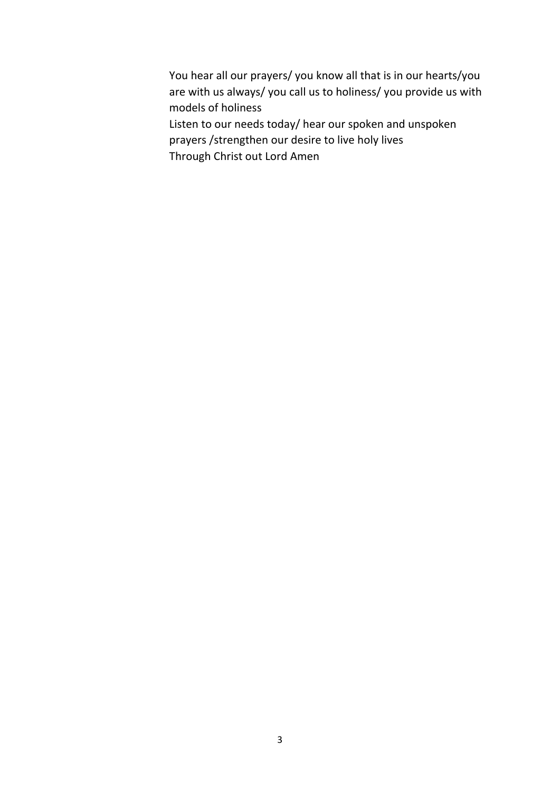- You hear all our prayers/ you know all that is in our hearts/you are with us always/ you call us to holiness/ you provide us with models of holiness Listen to our needs today/ hear our spoken and unspoken prayers /strengthen our desire to live holy lives
- Through Christ out Lord Amen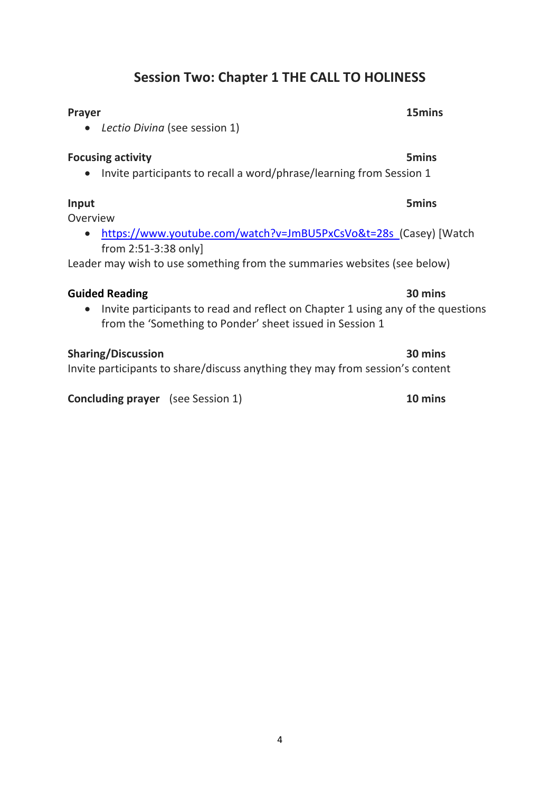# **Session Two: Chapter 1 THE CALL TO HOLINESS**

### **Prayer 15mins**

• *Lectio Divina* (see session 1)

### **Focusing activity 5mins**

• Invite participants to recall a word/phrase/learning from Session 1

### **Input 5mins**

Overview

• <https://www.youtube.com/watch?v=JmBU5PxCsVo&t=28s> (Casey) [Watch from 2:51-3:38 only]

Leader may wish to use something from the summaries websites (see below)

### **Guided Reading 30 mins**

• Invite participants to read and reflect on Chapter 1 using any of the questions from the 'Something to Ponder' sheet issued in Session 1

### **Sharing/Discussion 30 mins**

Invite participants to share/discuss anything they may from session's content

**Concluding prayer** (see Session 1) **10 mins**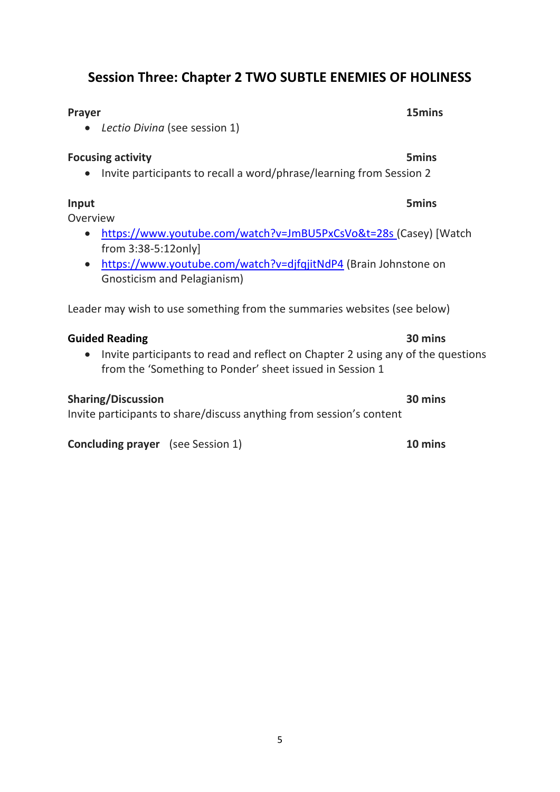# **Session Three: Chapter 2 TWO SUBTLE ENEMIES OF HOLINESS**

| Prayer                                                                                                                                                                            | 15mins       |
|-----------------------------------------------------------------------------------------------------------------------------------------------------------------------------------|--------------|
| Lectio Divina (see session 1)                                                                                                                                                     |              |
| <b>Focusing activity</b>                                                                                                                                                          | <b>5mins</b> |
| Invite participants to recall a word/phrase/learning from Session 2                                                                                                               |              |
| Input<br>Overview                                                                                                                                                                 | <b>5mins</b> |
| https://www.youtube.com/watch?v=JmBU5PxCsVo&t=28s (Casey) [Watch<br>from 3:38-5:12only]                                                                                           |              |
| https://www.youtube.com/watch?v=djfqjitNdP4 (Brain Johnstone on<br>$\bullet$<br>Gnosticism and Pelagianism)                                                                       |              |
| Leader may wish to use something from the summaries websites (see below)                                                                                                          |              |
| <b>Guided Reading</b><br>Invite participants to read and reflect on Chapter 2 using any of the questions<br>$\bullet$<br>from the 'Something to Ponder' sheet issued in Session 1 | 30 mins      |
| <b>Sharing/Discussion</b><br>Invite participants to share/discuss anything from session's content                                                                                 | 30 mins      |
| <b>Concluding prayer</b> (see Session 1)                                                                                                                                          | 10 mins      |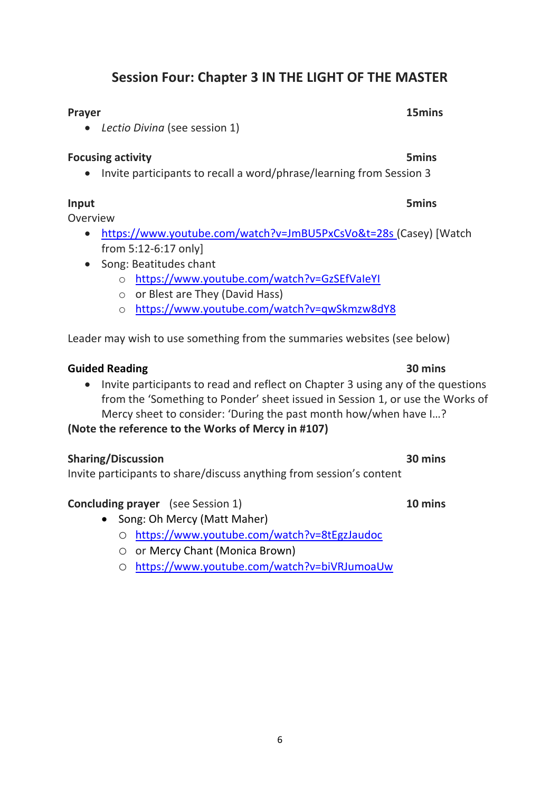# **Session Four: Chapter 3 IN THE LIGHT OF THE MASTER**

### **Prayer 15mins**

• *Lectio Divina* (see session 1)

### **Focusing activity 5mins**

• Invite participants to recall a word/phrase/learning from Session 3

### **Input 5mins**

Overview

- <https://www.youtube.com/watch?v=JmBU5PxCsVo&t=28s> (Casey) [Watch from 5:12-6:17 only]
- Song: Beatitudes chant
	- o <https://www.youtube.com/watch?v=GzSEfVaIeYI>
	- o or Blest are They (David Hass)
	- o <https://www.youtube.com/watch?v=qwSkmzw8dY8>

Leader may wish to use something from the summaries websites (see below)

### **Guided Reading 30 mins**

• Invite participants to read and reflect on Chapter 3 using any of the questions from the 'Something to Ponder' sheet issued in Session 1, or use the Works of Mercy sheet to consider: 'During the past month how/when have I…?

**(Note the reference to the Works of Mercy in #107)**

### **Sharing/Discussion 30 mins**

Invite participants to share/discuss anything from session's content

### **Concluding prayer** (see Session 1) **10 mins**

- Song: Oh Mercy (Matt Maher)
	- o <https://www.youtube.com/watch?v=8tEgzJaudoc>
	- o or Mercy Chant (Monica Brown)
	- o <https://www.youtube.com/watch?v=biVRJumoaUw>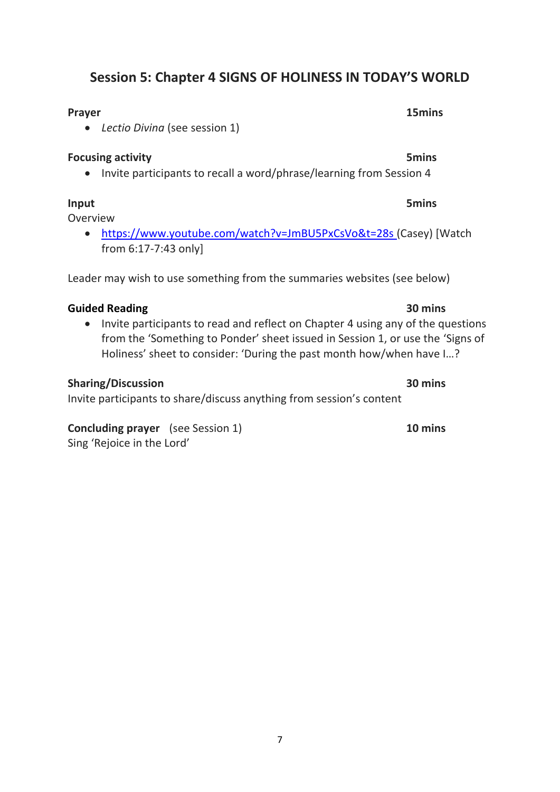# **Session 5: Chapter 4 SIGNS OF HOLINESS IN TODAY'S WORLD**

### **Prayer 15mins**

• *Lectio Divina* (see session 1)

### **Focusing activity 5mins**

• Invite participants to recall a word/phrase/learning from Session 4

Overview

• <https://www.youtube.com/watch?v=JmBU5PxCsVo&t=28s> (Casey) [Watch from 6:17-7:43 only]

Leader may wish to use something from the summaries websites (see below)

### **Guided Reading 30 mins**

• Invite participants to read and reflect on Chapter 4 using any of the questions from the 'Something to Ponder' sheet issued in Session 1, or use the 'Signs of Holiness' sheet to consider: 'During the past month how/when have I…?

### **Sharing/Discussion 30 mins**

Invite participants to share/discuss anything from session's content

**Concluding prayer** (see Session 1) **10 mins** Sing 'Rejoice in the Lord'

### **Input 5mins**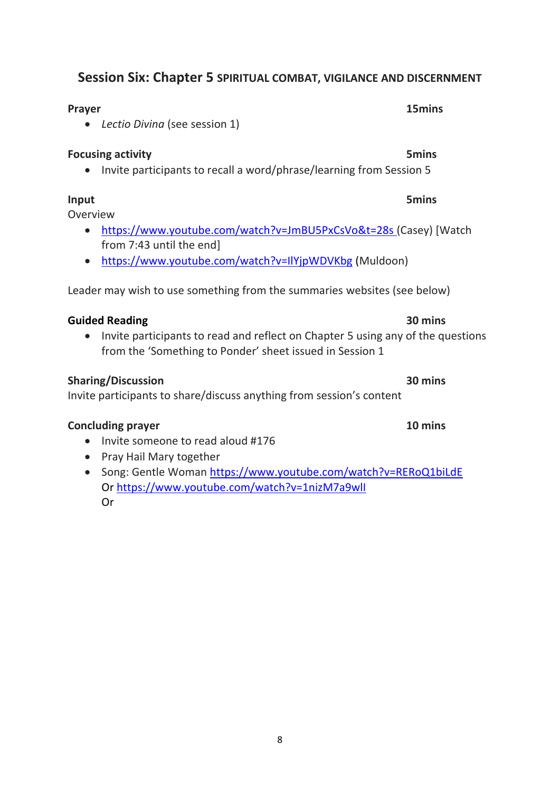### **Session Six: Chapter 5 SPIRITUAL COMBAT, VIGILANCE AND DISCERNMENT**

# • *Lectio Divina* (see session 1)

### **Focusing activity 5mins**

• Invite participants to recall a word/phrase/learning from Session 5

**Prayer 15mins**

### **Input 5mins**

Overview

- <https://www.youtube.com/watch?v=JmBU5PxCsVo&t=28s> (Casey) [Watch from 7:43 until the end]
- <https://www.youtube.com/watch?v=IlYjpWDVKbg> (Muldoon)

Leader may wish to use something from the summaries websites (see below)

### **Guided Reading 30 mins**

• Invite participants to read and reflect on Chapter 5 using any of the questions from the 'Something to Ponder' sheet issued in Session 1

### **Sharing/Discussion 30 mins**

Invite participants to share/discuss anything from session's content

### **Concluding prayer 10 mins**

- Invite someone to read aloud #176
- Pray Hail Mary together
- Song: Gentle Woman<https://www.youtube.com/watch?v=RERoQ1biLdE> Or<https://www.youtube.com/watch?v=1nizM7a9wlI> Or